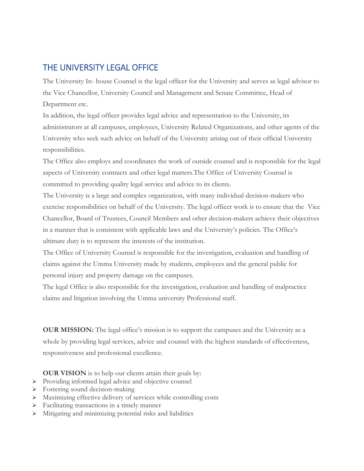## THE UNIVERSITY LEGAL OFFICE

The University In- house Counsel is the legal officer for the University and serves as legal advisor to the Vice Chancellor, University Council and Management and Senate Committee, Head of Department etc.

In addition, the legal officer provides legal advice and representation to the University, its administrators at all campuses, employees, University Related Organizations, and other agents of the University who seek such advice on behalf of the University arising out of their official University responsibilities.

The Office also employs and coordinates the work of outside counsel and is responsible for the legal aspects of University contracts and other legal matters.The Office of University Counsel is committed to providing quality legal service and advice to its clients.

The University is a large and complex organization, with many individual decision-makers who exercise responsibilities on behalf of the University. The legal officer work is to ensure that the Vice Chancellor, Board of Trustees, Council Members and other decision-makers achieve their objectives in a manner that is consistent with applicable laws and the University's policies. The Office's ultimate duty is to represent the interests of the institution.

The Office of University Counsel is responsible for the investigation, evaluation and handling of claims against the Umma University made by students, employees and the general public for personal injury and property damage on the campuses.

The legal Office is also responsible for the investigation, evaluation and handling of malpractice claims and litigation involving the Umma university Professional staff.

**OUR MISSION:** The legal office's mission is to support the campuses and the University as a whole by providing legal services, advice and counsel with the highest standards of effectiveness, responsiveness and professional excellence.

**OUR VISION** is to help our clients attain their goals by:

- > Providing informed legal advice and objective counsel
- > Fostering sound decision-making
- Maximizing effective delivery of services while controlling costs
- Facilitating transactions in a timely manner
- Mitigating and minimizing potential risks and liabilities